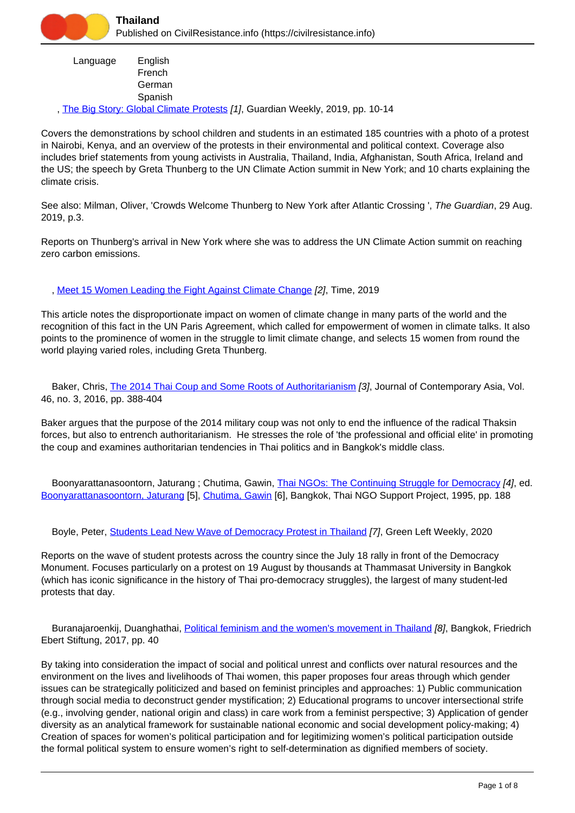| Language | English<br>French |
|----------|-------------------|
|          | German<br>Spanish |

, [The Big Story: Global Climate Protests](https://civilresistance.info/biblio-item/2019/big-story-global-climate-protests) [1], Guardian Weekly, 2019, pp. 10-14

Covers the demonstrations by school children and students in an estimated 185 countries with a photo of a protest in Nairobi, Kenya, and an overview of the protests in their environmental and political context. Coverage also includes brief statements from young activists in Australia, Thailand, India, Afghanistan, South Africa, Ireland and the US; the speech by Greta Thunberg to the UN Climate Action summit in New York; and 10 charts explaining the climate crisis.

See also: Milman, Oliver, 'Crowds Welcome Thunberg to New York after Atlantic Crossing ', The Guardian, 29 Aug. 2019, p.3.

Reports on Thunberg's arrival in New York where she was to address the UN Climate Action summit on reaching zero carbon emissions.

, [Meet 15 Women Leading the Fight Against Climate Change](https://civilresistance.info/biblio-item/2019/meet-15-women-leading-fight-against-climate-change) [2], Time, 2019

This article notes the disproportionate impact on women of climate change in many parts of the world and the recognition of this fact in the UN Paris Agreement, which called for empowerment of women in climate talks. It also points to the prominence of women in the struggle to limit climate change, and selects 15 women from round the world playing varied roles, including Greta Thunberg.

 Baker, Chris, [The 2014 Thai Coup and Some Roots of Authoritarianism](https://civilresistance.info/biblio-item/2016/2014-thai-coup-and-some-roots-authoritarianism) [3], Journal of Contemporary Asia, Vol. 46, no. 3, 2016, pp. 388-404

Baker argues that the purpose of the 2014 military coup was not only to end the influence of the radical Thaksin forces, but also to entrench authoritarianism. He stresses the role of 'the professional and official elite' in promoting the coup and examines authoritarian tendencies in Thai politics and in Bangkok's middle class.

Boonyarattanasoontorn, Jaturang; Chutima, Gawin, [Thai NGOs: The Continuing Struggle for Democracy](https://civilresistance.info/biblio-item/1995/thai-ngos-continuing-struggle-democracy) [4], ed. [Boonyarattanasoontorn, Jaturang](https://civilresistance.info/author/838) [5], [Chutima, Gawin](https://civilresistance.info/author/839) [6], Bangkok, Thai NGO Support Project, 1995, pp. 188

Boyle, Peter, [Students Lead New Wave of Democracy Protest in Thailand](https://civilresistance.info/biblio-item/2020/students-lead-new-wave-democracy-protest-thailand) [7], Green Left Weekly, 2020

Reports on the wave of student protests across the country since the July 18 rally in front of the Democracy Monument. Focuses particularly on a protest on 19 August by thousands at Thammasat University in Bangkok (which has iconic significance in the history of Thai pro-democracy struggles), the largest of many student-led protests that day.

Buranajaroenkij, Duanghathai, [Political feminism and the women's movement in Thailand](https://civilresistance.info/biblio-item/2017/political-feminism-and-womens-movement-thailand) [8], Bangkok, Friedrich Ebert Stiftung, 2017, pp. 40

By taking into consideration the impact of social and political unrest and conflicts over natural resources and the environment on the lives and livelihoods of Thai women, this paper proposes four areas through which gender issues can be strategically politicized and based on feminist principles and approaches: 1) Public communication through social media to deconstruct gender mystification; 2) Educational programs to uncover intersectional strife (e.g., involving gender, national origin and class) in care work from a feminist perspective; 3) Application of gender diversity as an analytical framework for sustainable national economic and social development policy-making; 4) Creation of spaces for women's political participation and for legitimizing women's political participation outside the formal political system to ensure women's right to self-determination as dignified members of society.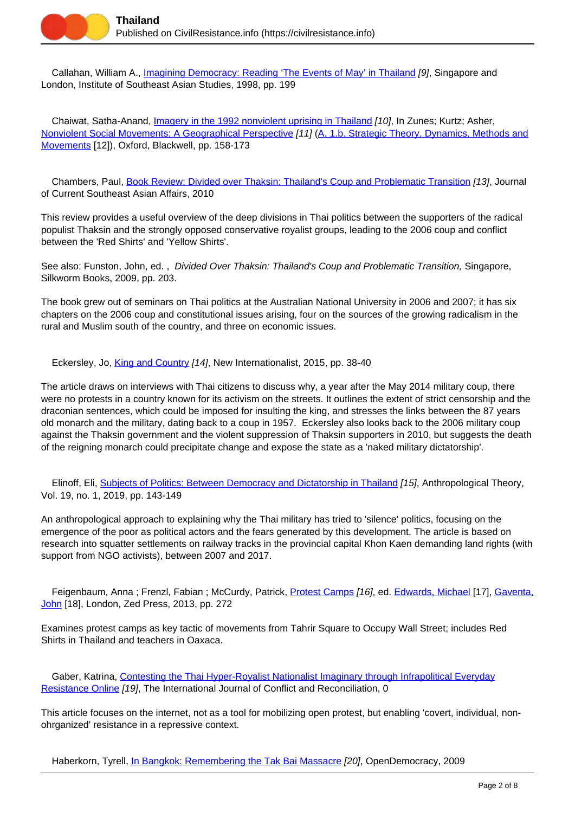

 Callahan, William A., [Imagining Democracy: Reading 'The Events of May' in Thailand](https://civilresistance.info/biblio-item/1998/imagining-democracy-reading-events-may-thailand) [9], Singapore and London, Institute of Southeast Asian Studies, 1998, pp. 199

Chaiwat, Satha-Anand, *Imagery in the 1992 nonviolent uprising in Thailand [10]*, In Zunes; Kurtz; Asher, [Nonviolent Social Movements: A Geographical Perspective](https://civilresistance.info/biblio-item/1999/nonviolent-social-movements-geographical-perspective) [11] [\(A. 1.b. Strategic Theory, Dynamics, Methods and](https://civilresistance.info/section/introduction-nonviolent-action/1-theory-methods-and-examples/1b-strategic-theory-dynamics) [Movements](https://civilresistance.info/section/introduction-nonviolent-action/1-theory-methods-and-examples/1b-strategic-theory-dynamics) [12]), Oxford, Blackwell, pp. 158-173

 Chambers, Paul, [Book Review: Divided over Thaksin: Thailand's Coup and Problematic Transition](https://civilresistance.info/biblio-item/2010/book-review-divided-over-thaksin-thailands-coup-and-problematic-transition) [13], Journal of Current Southeast Asian Affairs, 2010

This review provides a useful overview of the deep divisions in Thai politics between the supporters of the radical populist Thaksin and the strongly opposed conservative royalist groups, leading to the 2006 coup and conflict between the 'Red Shirts' and 'Yellow Shirts'.

See also: Funston, John, ed., Divided Over Thaksin: Thailand's Coup and Problematic Transition, Singapore, Silkworm Books, 2009, pp. 203.

The book grew out of seminars on Thai politics at the Australian National University in 2006 and 2007; it has six chapters on the 2006 coup and constitutional issues arising, four on the sources of the growing radicalism in the rural and Muslim south of the country, and three on economic issues.

Eckersley, Jo, *[King and Country](https://civilresistance.info/biblio-item/2015/king-and-country) [14]*, New Internationalist, 2015, pp. 38-40

The article draws on interviews with Thai citizens to discuss why, a year after the May 2014 military coup, there were no protests in a country known for its activism on the streets. It outlines the extent of strict censorship and the draconian sentences, which could be imposed for insulting the king, and stresses the links between the 87 years old monarch and the military, dating back to a coup in 1957. Eckersley also looks back to the 2006 military coup against the Thaksin government and the violent suppression of Thaksin supporters in 2010, but suggests the death of the reigning monarch could precipitate change and expose the state as a 'naked military dictatorship'.

 Elinoff, Eli, [Subjects of Politics: Between Democracy and Dictatorship in Thailand](https://civilresistance.info/biblio-item/2019/subjects-politics-between-democracy-and-dictatorship-thailand) [15], Anthropological Theory, Vol. 19, no. 1, 2019, pp. 143-149

An anthropological approach to explaining why the Thai military has tried to 'silence' politics, focusing on the emergence of the poor as political actors and the fears generated by this development. The article is based on research into squatter settlements on railway tracks in the provincial capital Khon Kaen demanding land rights (with support from NGO activists), between 2007 and 2017.

 Feigenbaum, Anna ; Frenzl, Fabian ; McCurdy, Patrick, [Protest Camps](https://civilresistance.info/biblio-item/2013/protest-camps) [16], ed. [Edwards, Michael](https://civilresistance.info/author/1158) [17], [Gaventa,](https://civilresistance.info/author/1159) [John](https://civilresistance.info/author/1159) [18], London, Zed Press, 2013, pp. 272

Examines protest camps as key tactic of movements from Tahrir Square to Occupy Wall Street; includes Red Shirts in Thailand and teachers in Oaxaca.

Gaber, Katrina, [Contesting the Thai Hyper-Royalist Nationalist Imaginary through Infrapolitical Everyday](https://civilresistance.info/biblio-item/contesting-thai-hyper-royalist-nationalist-imaginary-through-infrapolitical-everyday) [Resistance Online](https://civilresistance.info/biblio-item/contesting-thai-hyper-royalist-nationalist-imaginary-through-infrapolitical-everyday) [19], The International Journal of Conflict and Reconciliation, 0

This article focuses on the internet, not as a tool for mobilizing open protest, but enabling 'covert, individual, nonohrganized' resistance in a repressive context.

Haberkorn, Tyrell, [In Bangkok: Remembering the Tak Bai Massacre](https://civilresistance.info/biblio-item/2009/bangkok-remembering-tak-bai-massacre) [20], OpenDemocracy, 2009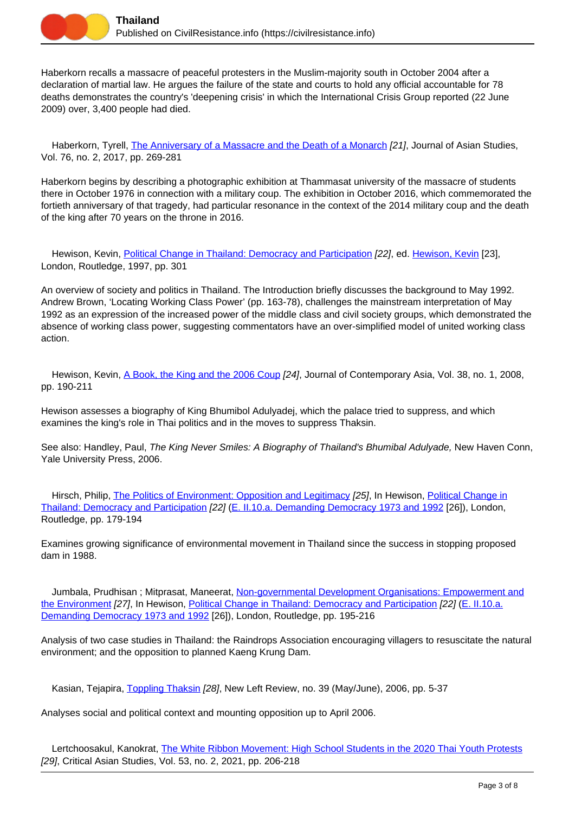

Haberkorn recalls a massacre of peaceful protesters in the Muslim-majority south in October 2004 after a declaration of martial law. He argues the failure of the state and courts to hold any official accountable for 78 deaths demonstrates the country's 'deepening crisis' in which the International Crisis Group reported (22 June 2009) over, 3,400 people had died.

Haberkorn, Tyrell, [The Anniversary of a Massacre and the Death of a Monarch](https://civilresistance.info/biblio-item/2017/anniversary-massacre-and-death-monarch) [21], Journal of Asian Studies, Vol. 76, no. 2, 2017, pp. 269-281

Haberkorn begins by describing a photographic exhibition at Thammasat university of the massacre of students there in October 1976 in connection with a military coup. The exhibition in October 2016, which commemorated the fortieth anniversary of that tragedy, had particular resonance in the context of the 2014 military coup and the death of the king after 70 years on the throne in 2016.

Hewison, Kevin, [Political Change in Thailand: Democracy and Participation](https://civilresistance.info/biblio-item/1997/political-change-thailand-democracy-and-participation) [22], ed. [Hewison, Kevin](https://civilresistance.info/author/842) [23], London, Routledge, 1997, pp. 301

An overview of society and politics in Thailand. The Introduction briefly discusses the background to May 1992. Andrew Brown, 'Locating Working Class Power' (pp. 163-78), challenges the mainstream interpretation of May 1992 as an expression of the increased power of the middle class and civil society groups, which demonstrated the absence of working class power, suggesting commentators have an over-simplified model of united working class action.

Hewison, Kevin, *A Book, the King and the 2006 Coup [24]*, Journal of Contemporary Asia, Vol. 38, no. 1, 2008, pp. 190-211

Hewison assesses a biography of King Bhumibol Adulyadej, which the palace tried to suppress, and which examines the king's role in Thai politics and in the moves to suppress Thaksin.

See also: Handley, Paul, The King Never Smiles: A Biography of Thailand's Bhumibal Adulyade, New Haven Conn, Yale University Press, 2006.

 Hirsch, Philip, [The Politics of Environment: Opposition and Legitimacy](https://civilresistance.info/biblio-item/1997/politics-environment-opposition-and-legitimacy) [25], In Hewison, [Political Change in](https://civilresistance.info/biblio-item/1997/political-change-thailand-democracy-and-participation) [Thailand: Democracy and Participation](https://civilresistance.info/biblio-item/1997/political-change-thailand-democracy-and-participation) [22] ([E. II.10.a. Demanding Democracy 1973 and 1992](https://civilresistance.info/section/e-resisting-oppressive-dictatorial-military-or-authoritarian-rule/e-ii-asia-and-20) [26]), London, Routledge, pp. 179-194

Examines growing significance of environmental movement in Thailand since the success in stopping proposed dam in 1988.

Jumbala, Prudhisan ; Mitprasat, Maneerat, [Non-governmental Development Organisations: Empowerment and](https://civilresistance.info/biblio-item/1997/non-governmental-development-organisations-empowerment-and-environment) [the Environment](https://civilresistance.info/biblio-item/1997/non-governmental-development-organisations-empowerment-and-environment) [27], In Hewison, [Political Change in Thailand: Democracy and Participation](https://civilresistance.info/biblio-item/1997/political-change-thailand-democracy-and-participation) [22] [\(E. II.10.a.](https://civilresistance.info/section/e-resisting-oppressive-dictatorial-military-or-authoritarian-rule/e-ii-asia-and-20) [Demanding Democracy 1973 and 1992](https://civilresistance.info/section/e-resisting-oppressive-dictatorial-military-or-authoritarian-rule/e-ii-asia-and-20) [26]), London, Routledge, pp. 195-216

Analysis of two case studies in Thailand: the Raindrops Association encouraging villagers to resuscitate the natural environment; and the opposition to planned Kaeng Krung Dam.

Kasian, Tejapira, [Toppling Thaksin](https://civilresistance.info/biblio-item/2006/toppling-thaksin) [28], New Left Review, no. 39 (May/June), 2006, pp. 5-37

Analyses social and political context and mounting opposition up to April 2006.

Lertchoosakul, Kanokrat, [The White Ribbon Movement: High School Students in the 2020 Thai Youth Protests](https://civilresistance.info/biblio-item/2021/white-ribbon-movement-high-school-students-2020-thai-youth-protests) [29], Critical Asian Studies, Vol. 53, no. 2, 2021, pp. 206-218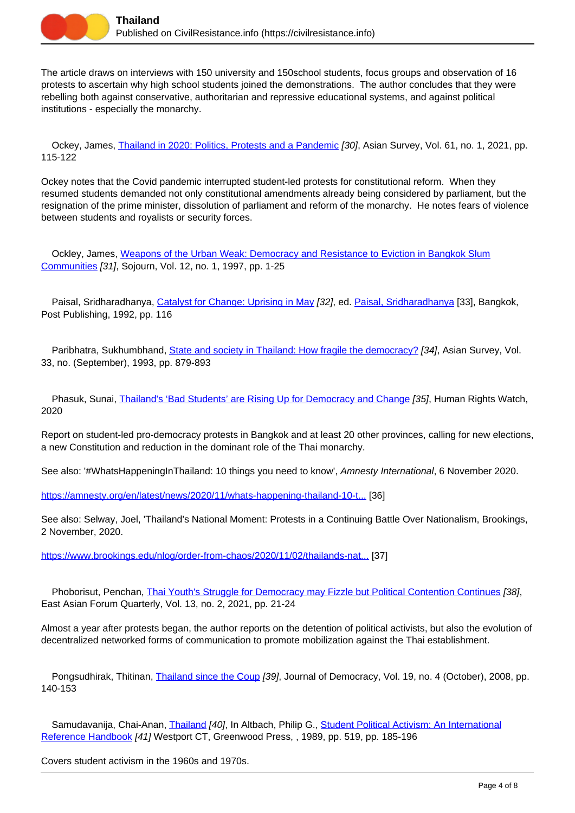

The article draws on interviews with 150 university and 150school students, focus groups and observation of 16 protests to ascertain why high school students joined the demonstrations. The author concludes that they were rebelling both against conservative, authoritarian and repressive educational systems, and against political institutions - especially the monarchy.

Ockey, James, [Thailand in 2020: Politics, Protests and a Pandemic](https://civilresistance.info/biblio-item/2021/thailand-2020-politics-protests-and-pandemic) [30], Asian Survey, Vol. 61, no. 1, 2021, pp. 115-122

Ockey notes that the Covid pandemic interrupted student-led protests for constitutional reform. When they resumed students demanded not only constitutional amendments already being considered by parliament, but the resignation of the prime minister, dissolution of parliament and reform of the monarchy. He notes fears of violence between students and royalists or security forces.

 Ockley, James, [Weapons of the Urban Weak: Democracy and Resistance to Eviction in Bangkok Slum](https://civilresistance.info/biblio-item/1997/weapons-urban-weak-democracy-and-resistance-eviction-bangkok-slum-communities) [Communities](https://civilresistance.info/biblio-item/1997/weapons-urban-weak-democracy-and-resistance-eviction-bangkok-slum-communities) [31], Sojourn, Vol. 12, no. 1, 1997, pp. 1-25

Paisal, Sridharadhanya, [Catalyst for Change: Uprising in May](https://civilresistance.info/biblio-item/1992/catalyst-change-uprising-may) [32], ed. [Paisal, Sridharadhanya](https://civilresistance.info/author/843) [33], Bangkok, Post Publishing, 1992, pp. 116

Paribhatra, Sukhumbhand, [State and society in Thailand: How fragile the democracy?](https://civilresistance.info/biblio-item/1993/state-and-society-thailand-how-fragile-democracy) [34], Asian Survey, Vol. 33, no. (September), 1993, pp. 879-893

Phasuk, Sunai, *[Thailand's 'Bad Students' are Rising Up for Democracy and Change](https://civilresistance.info/biblio-item/2020/thailands-bad-students-are-rising-democracy-and-change) [35]*, Human Rights Watch, 2020

Report on student-led pro-democracy protests in Bangkok and at least 20 other provinces, calling for new elections, a new Constitution and reduction in the dominant role of the Thai monarchy.

See also: '#WhatsHappeningInThailand: 10 things you need to know', Amnesty International, 6 November 2020.

[https://amnesty.org/en/latest/news/2020/11/whats-happening-thailand-10-t...](https://amnesty.org/en/latest/news/2020/11/whats-happening-thailand-10-things) [36]

See also: Selway, Joel, 'Thailand's National Moment: Protests in a Continuing Battle Over Nationalism, Brookings, 2 November, 2020.

[https://www.brookings.edu/nlog/order-from-chaos/2020/11/02/thailands-nat...](https://www.brookings.edu/nlog/order-from-chaos/2020/11/02/thailands-national-moment-protests-in-a-continuing-battle-over-nationalism/) [37]

 Phoborisut, Penchan, [Thai Youth's Struggle for Democracy may Fizzle but Political Contention Continues](https://civilresistance.info/biblio-item/2021/thai-youths-struggle-democracy-may-fizzle-political-contention-continues) [38], East Asian Forum Quarterly, Vol. 13, no. 2, 2021, pp. 21-24

Almost a year after protests began, the author reports on the detention of political activists, but also the evolution of decentralized networked forms of communication to promote mobilization against the Thai establishment.

Pongsudhirak, Thitinan, [Thailand since the Coup](https://civilresistance.info/biblio-item/2008/thailand-coup) [39], Journal of Democracy, Vol. 19, no. 4 (October), 2008, pp. 140-153

Samudavanija, Chai-Anan, [Thailand](https://civilresistance.info/biblio-item/1989/thailand) [40], In Altbach, Philip G., [Student Political Activism: An International](https://civilresistance.info/biblio-item/1989/student-political-activism-international-reference-handbook) [Reference Handbook](https://civilresistance.info/biblio-item/1989/student-political-activism-international-reference-handbook) [41] Westport CT, Greenwood Press, , 1989, pp. 519, pp. 185-196

Covers student activism in the 1960s and 1970s.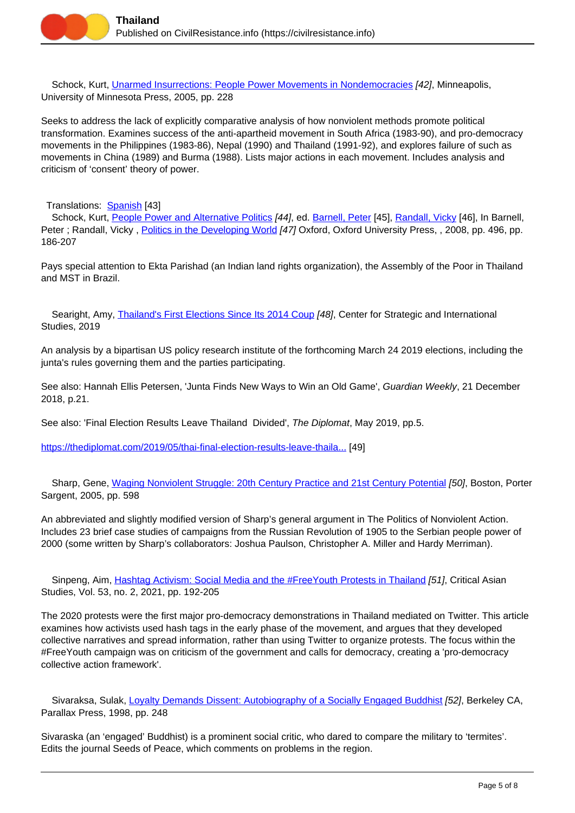

 Schock, Kurt, [Unarmed Insurrections: People Power Movements in Nondemocracies](https://civilresistance.info/biblio-item/2005/unarmed-insurrections-people-power-movements-nondemocracies) [42], Minneapolis, University of Minnesota Press, 2005, pp. 228

Seeks to address the lack of explicitly comparative analysis of how nonviolent methods promote political transformation. Examines success of the anti-apartheid movement in South Africa (1983-90), and pro-democracy movements in the Philippines (1983-86), Nepal (1990) and Thailand (1991-92), and explores failure of such as movements in China (1989) and Burma (1988). Lists major actions in each movement. Includes analysis and criticism of 'consent' theory of power.

Translations: [Spanish](https://civilresistance.info/biblio-item/2008/insurrecciones-no-armadas) [43]

Schock, Kurt, [People Power and Alternative Politics](https://civilresistance.info/biblio-item/2008/people-power-and-alternative-politics) [44], ed. [Barnell, Peter](https://civilresistance.info/author/1284) [45], [Randall, Vicky](https://civilresistance.info/author/1285) [46], In Barnell, Peter ; Randall, Vicky, [Politics in the Developing World](https://civilresistance.info/biblio-item/2008/politics-developing-world) [47] Oxford, Oxford University Press, , 2008, pp. 496, pp. 186-207

Pays special attention to Ekta Parishad (an Indian land rights organization), the Assembly of the Poor in Thailand and MST in Brazil.

Searight, Amy, [Thailand's First Elections Since Its 2014 Coup](https://civilresistance.info/biblio-item/2019/thailands-first-elections-its-2014-coup) [48], Center for Strategic and International Studies, 2019

An analysis by a bipartisan US policy research institute of the forthcoming March 24 2019 elections, including the junta's rules governing them and the parties participating.

See also: Hannah Ellis Petersen, 'Junta Finds New Ways to Win an Old Game', Guardian Weekly, 21 December 2018, p.21.

See also: 'Final Election Results Leave Thailand Divided', The Diplomat, May 2019, pp.5.

[https://thediplomat.com/2019/05/thai-final-election-results-leave-thaila...](https://thediplomat.com/2019/05/thai-final-election-results-leave-thailand-divided/) [49]

Sharp, Gene, [Waging Nonviolent Struggle: 20th Century Practice and 21st Century Potential](https://civilresistance.info/biblio-item/2005/waging-nonviolent-struggle-20th-century-practice-and-21st-century-potential) [50], Boston, Porter Sargent, 2005, pp. 598

An abbreviated and slightly modified version of Sharp's general argument in The Politics of Nonviolent Action. Includes 23 brief case studies of campaigns from the Russian Revolution of 1905 to the Serbian people power of 2000 (some written by Sharp's collaborators: Joshua Paulson, Christopher A. Miller and Hardy Merriman).

Sinpeng, Aim, [Hashtag Activism: Social Media and the #FreeYouth Protests in Thailand](https://civilresistance.info/biblio-item/2021/hashtag-activism-social-media-and-freeyouth-protests-thailand) [51], Critical Asian Studies, Vol. 53, no. 2, 2021, pp. 192-205

The 2020 protests were the first major pro-democracy demonstrations in Thailand mediated on Twitter. This article examines how activists used hash tags in the early phase of the movement, and argues that they developed collective narratives and spread information, rather than using Twitter to organize protests. The focus within the #FreeYouth campaign was on criticism of the government and calls for democracy, creating a 'pro-democracy collective action framework'.

Sivaraksa, Sulak, [Loyalty Demands Dissent: Autobiography of a Socially Engaged Buddhist](https://civilresistance.info/biblio-item/1998/loyalty-demands-dissent-autobiography-socially-engaged-buddhist) [52], Berkeley CA, Parallax Press, 1998, pp. 248

Sivaraska (an 'engaged' Buddhist) is a prominent social critic, who dared to compare the military to 'termites'. Edits the journal Seeds of Peace, which comments on problems in the region.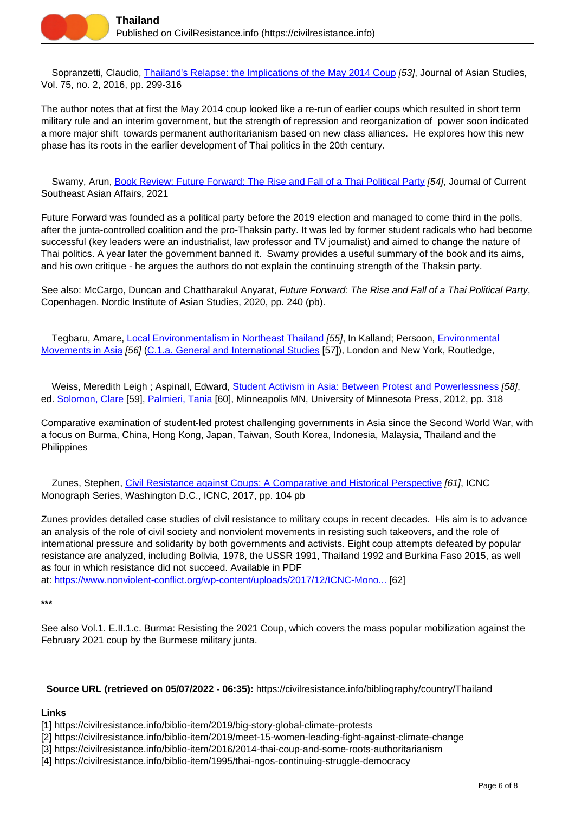

 Sopranzetti, Claudio, [Thailand's Relapse: the Implications of the May 2014 Coup](https://civilresistance.info/biblio-item/2016/thailands-relapse-implications-may-2014-coup) [53], Journal of Asian Studies, Vol. 75, no. 2, 2016, pp. 299-316

The author notes that at first the May 2014 coup looked like a re-run of earlier coups which resulted in short term military rule and an interim government, but the strength of repression and reorganization of power soon indicated a more major shift towards permanent authoritarianism based on new class alliances. He explores how this new phase has its roots in the earlier development of Thai politics in the 20th century.

 Swamy, Arun, [Book Review: Future Forward: The Rise and Fall of a Thai Political Party](https://civilresistance.info/biblio-item/2021/book-review-future-forward-rise-and-fall-thai-political-party) [54], Journal of Current Southeast Asian Affairs, 2021

Future Forward was founded as a political party before the 2019 election and managed to come third in the polls, after the junta-controlled coalition and the pro-Thaksin party. It was led by former student radicals who had become successful (key leaders were an industrialist, law professor and TV journalist) and aimed to change the nature of Thai politics. A year later the government banned it. Swamy provides a useful summary of the book and its aims, and his own critique - he argues the authors do not explain the continuing strength of the Thaksin party.

See also: McCargo, Duncan and Chattharakul Anyarat, Future Forward: The Rise and Fall of a Thai Political Party, Copenhagen. Nordic Institute of Asian Studies, 2020, pp. 240 (pb).

 Tegbaru, Amare, [Local Environmentalism in Northeast Thailand](https://civilresistance.info/biblio-item/1999/local-environmentalism-northeast-thailand) [55], In Kalland; Persoon, [Environmental](https://civilresistance.info/biblio-item/1999/environmental-movements-asia) [Movements in Asia](https://civilresistance.info/biblio-item/1999/environmental-movements-asia) [56] ([C.1.a. General and International Studies](https://civilresistance.info/section/c-green-campaigns-and-protests/c1-green-movements/c1a-general-and-international-studies) [57]), London and New York, Routledge,

Weiss, Meredith Leigh ; Aspinall, Edward, [Student Activism in Asia: Between Protest and Powerlessness](https://civilresistance.info/biblio-item/2012/student-activism-asia-between-protest-and-powerlessness) [58], ed. [Solomon, Clare](https://civilresistance.info/author/1168) [59], [Palmieri, Tania](https://civilresistance.info/author/1169) [60], Minneapolis MN, University of Minnesota Press, 2012, pp. 318

Comparative examination of student-led protest challenging governments in Asia since the Second World War, with a focus on Burma, China, Hong Kong, Japan, Taiwan, South Korea, Indonesia, Malaysia, Thailand and the Philippines

 Zunes, Stephen, [Civil Resistance against Coups: A Comparative and Historical Perspective](https://civilresistance.info/biblio-item/2017/civil-resistance-against-coups-comparative-and-historical-perspective) [61], ICNC Monograph Series, Washington D.C., ICNC, 2017, pp. 104 pb

Zunes provides detailed case studies of civil resistance to military coups in recent decades. His aim is to advance an analysis of the role of civil society and nonviolent movements in resisting such takeovers, and the role of international pressure and solidarity by both governments and activists. Eight coup attempts defeated by popular resistance are analyzed, including Bolivia, 1978, the USSR 1991, Thailand 1992 and Burkina Faso 2015, as well as four in which resistance did not succeed. Available in PDF

at: [https://www.nonviolent-conflict.org/wp-content/uploads/2017/12/ICNC-Mono...](https://www.nonviolent-conflict.org/wp-content/uploads/2017/12/ICNC-Monograph-Civil-Resistance-Against-Coups.pdf) [62]

**\*\*\***

See also Vol.1. E.II.1.c. Burma: Resisting the 2021 Coup, which covers the mass popular mobilization against the February 2021 coup by the Burmese military junta.

## **Source URL (retrieved on 05/07/2022 - 06:35):** https://civilresistance.info/bibliography/country/Thailand

## **Links**

[1] https://civilresistance.info/biblio-item/2019/big-story-global-climate-protests

- [2] https://civilresistance.info/biblio-item/2019/meet-15-women-leading-fight-against-climate-change
- [3] https://civilresistance.info/biblio-item/2016/2014-thai-coup-and-some-roots-authoritarianism
- [4] https://civilresistance.info/biblio-item/1995/thai-ngos-continuing-struggle-democracy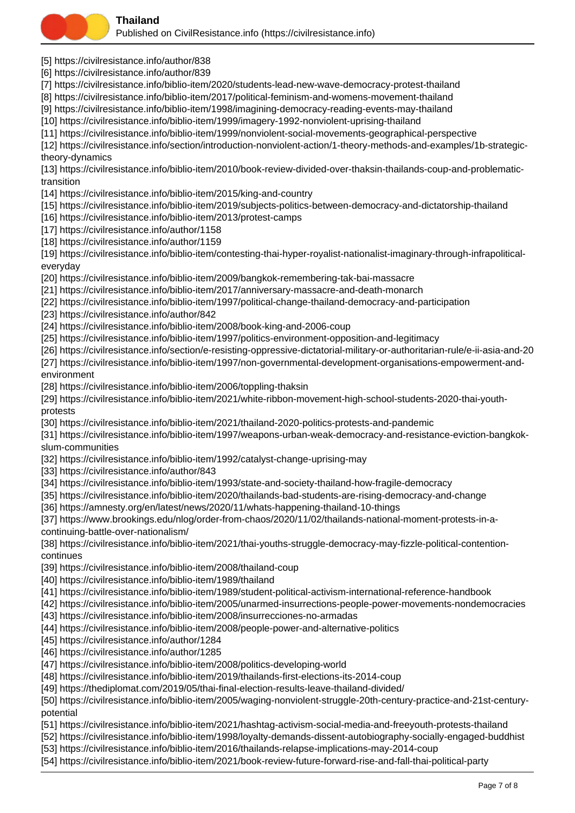

- [5] https://civilresistance.info/author/838
- [6] https://civilresistance.info/author/839
- [7] https://civilresistance.info/biblio-item/2020/students-lead-new-wave-democracy-protest-thailand
- [8] https://civilresistance.info/biblio-item/2017/political-feminism-and-womens-movement-thailand
- [9] https://civilresistance.info/biblio-item/1998/imagining-democracy-reading-events-may-thailand
- [10] https://civilresistance.info/biblio-item/1999/imagery-1992-nonviolent-uprising-thailand
- [11] https://civilresistance.info/biblio-item/1999/nonviolent-social-movements-geographical-perspective

[12] https://civilresistance.info/section/introduction-nonviolent-action/1-theory-methods-and-examples/1b-strategictheory-dynamics

[13] https://civilresistance.info/biblio-item/2010/book-review-divided-over-thaksin-thailands-coup-and-problematictransition

- [14] https://civilresistance.info/biblio-item/2015/king-and-country
- [15] https://civilresistance.info/biblio-item/2019/subjects-politics-between-democracy-and-dictatorship-thailand
- [16] https://civilresistance.info/biblio-item/2013/protest-camps
- [17] https://civilresistance.info/author/1158
- [18] https://civilresistance.info/author/1159

[19] https://civilresistance.info/biblio-item/contesting-thai-hyper-royalist-nationalist-imaginary-through-infrapoliticaleveryday

- [20] https://civilresistance.info/biblio-item/2009/bangkok-remembering-tak-bai-massacre
- [21] https://civilresistance.info/biblio-item/2017/anniversary-massacre-and-death-monarch
- [22] https://civilresistance.info/biblio-item/1997/political-change-thailand-democracy-and-participation
- [23] https://civilresistance.info/author/842
- [24] https://civilresistance.info/biblio-item/2008/book-king-and-2006-coup
- [25] https://civilresistance.info/biblio-item/1997/politics-environment-opposition-and-legitimacy
- [26] https://civilresistance.info/section/e-resisting-oppressive-dictatorial-military-or-authoritarian-rule/e-ii-asia-and-20
- [27] https://civilresistance.info/biblio-item/1997/non-governmental-development-organisations-empowerment-andenvironment
- [28] https://civilresistance.info/biblio-item/2006/toppling-thaksin
- [29] https://civilresistance.info/biblio-item/2021/white-ribbon-movement-high-school-students-2020-thai-youthprotests
- [30] https://civilresistance.info/biblio-item/2021/thailand-2020-politics-protests-and-pandemic
- [31] https://civilresistance.info/biblio-item/1997/weapons-urban-weak-democracy-and-resistance-eviction-bangkokslum-communities
- [32] https://civilresistance.info/biblio-item/1992/catalyst-change-uprising-may
- [33] https://civilresistance.info/author/843
- [34] https://civilresistance.info/biblio-item/1993/state-and-society-thailand-how-fragile-democracy
- [35] https://civilresistance.info/biblio-item/2020/thailands-bad-students-are-rising-democracy-and-change
- [36] https://amnesty.org/en/latest/news/2020/11/whats-happening-thailand-10-things
- [37] https://www.brookings.edu/nlog/order-from-chaos/2020/11/02/thailands-national-moment-protests-in-acontinuing-battle-over-nationalism/
- [38] https://civilresistance.info/biblio-item/2021/thai-youths-struggle-democracy-may-fizzle-political-contentioncontinues
- [39] https://civilresistance.info/biblio-item/2008/thailand-coup
- [40] https://civilresistance.info/biblio-item/1989/thailand
- [41] https://civilresistance.info/biblio-item/1989/student-political-activism-international-reference-handbook
- [42] https://civilresistance.info/biblio-item/2005/unarmed-insurrections-people-power-movements-nondemocracies
- [43] https://civilresistance.info/biblio-item/2008/insurrecciones-no-armadas
- [44] https://civilresistance.info/biblio-item/2008/people-power-and-alternative-politics
- [45] https://civilresistance.info/author/1284
- [46] https://civilresistance.info/author/1285
- [47] https://civilresistance.info/biblio-item/2008/politics-developing-world
- [48] https://civilresistance.info/biblio-item/2019/thailands-first-elections-its-2014-coup
- [49] https://thediplomat.com/2019/05/thai-final-election-results-leave-thailand-divided/

[50] https://civilresistance.info/biblio-item/2005/waging-nonviolent-struggle-20th-century-practice-and-21st-centurypotential

- [51] https://civilresistance.info/biblio-item/2021/hashtag-activism-social-media-and-freeyouth-protests-thailand
- [52] https://civilresistance.info/biblio-item/1998/loyalty-demands-dissent-autobiography-socially-engaged-buddhist
- [53] https://civilresistance.info/biblio-item/2016/thailands-relapse-implications-may-2014-coup
- [54] https://civilresistance.info/biblio-item/2021/book-review-future-forward-rise-and-fall-thai-political-party